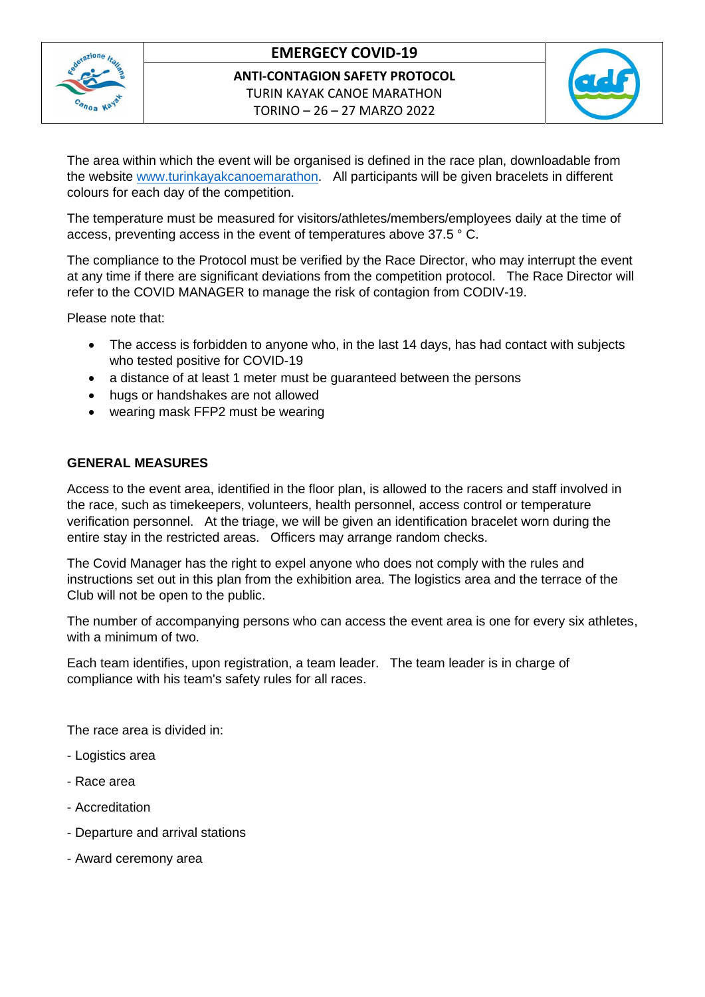

# **EMERGECY COVID-19**

**ANTI-CONTAGION SAFETY PROTOCOL** TURIN KAYAK CANOE MARATHON TORINO – 26 – 27 MARZO 2022



The area within which the event will be organised is defined in the race plan, downloadable from the website [www.turinkayakcanoemarathon.](http://www.turinkayakcanoemarathon/) All participants will be given bracelets in different colours for each day of the competition.

The temperature must be measured for visitors/athletes/members/employees daily at the time of access, preventing access in the event of temperatures above 37.5 ° C.

The compliance to the Protocol must be verified by the Race Director, who may interrupt the event at any time if there are significant deviations from the competition protocol. The Race Director will refer to the COVID MANAGER to manage the risk of contagion from CODIV-19.

Please note that:

- The access is forbidden to anyone who, in the last 14 days, has had contact with subjects who tested positive for COVID-19
- a distance of at least 1 meter must be guaranteed between the persons
- hugs or handshakes are not allowed
- wearing mask FFP2 must be wearing

#### **GENERAL MEASURES**

Access to the event area, identified in the floor plan, is allowed to the racers and staff involved in the race, such as timekeepers, volunteers, health personnel, access control or temperature verification personnel. At the triage, we will be given an identification bracelet worn during the entire stay in the restricted areas. Officers may arrange random checks.

The Covid Manager has the right to expel anyone who does not comply with the rules and instructions set out in this plan from the exhibition area. The logistics area and the terrace of the Club will not be open to the public.

The number of accompanying persons who can access the event area is one for every six athletes, with a minimum of two.

Each team identifies, upon registration, a team leader. The team leader is in charge of compliance with his team's safety rules for all races.

The race area is divided in:

- Logistics area
- Race area
- Accreditation
- Departure and arrival stations
- Award ceremony area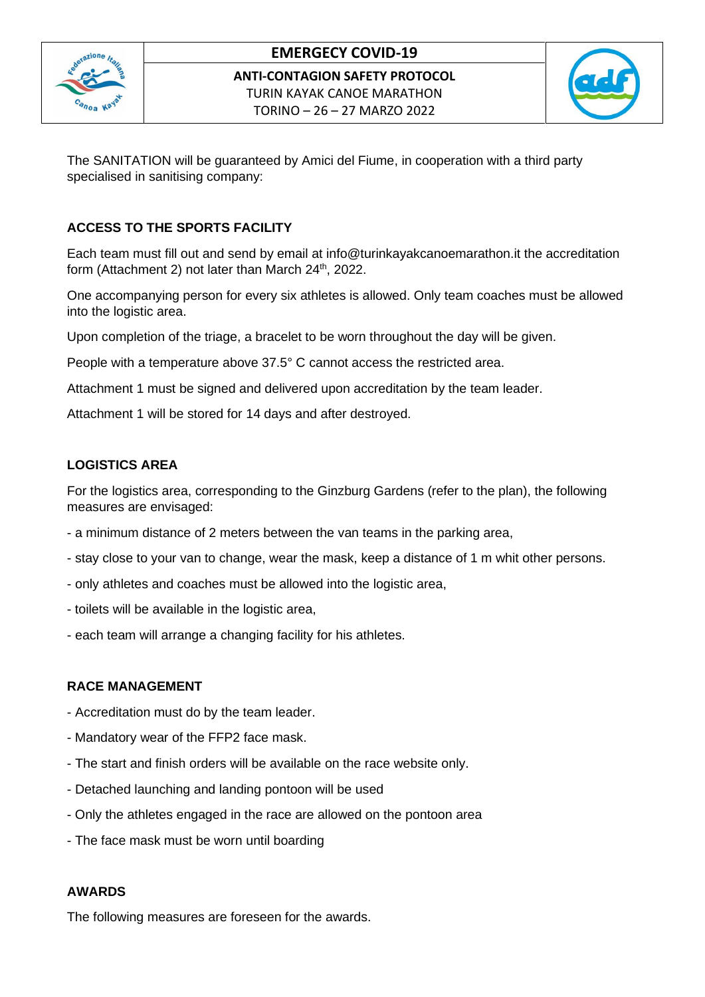

## **EMERGECY COVID-19**

**ANTI-CONTAGION SAFETY PROTOCOL** TURIN KAYAK CANOE MARATHON TORINO – 26 – 27 MARZO 2022



The SANITATION will be guaranteed by Amici del Fiume, in cooperation with a third party specialised in sanitising company:

#### **ACCESS TO THE SPORTS FACILITY**

Each team must fill out and send by email at info@turinkayakcanoemarathon.it the accreditation form (Attachment 2) not later than March 24<sup>th</sup>, 2022.

One accompanying person for every six athletes is allowed. Only team coaches must be allowed into the logistic area.

Upon completion of the triage, a bracelet to be worn throughout the day will be given.

People with a temperature above 37.5° C cannot access the restricted area.

Attachment 1 must be signed and delivered upon accreditation by the team leader.

Attachment 1 will be stored for 14 days and after destroyed.

### **LOGISTICS AREA**

For the logistics area, corresponding to the Ginzburg Gardens (refer to the plan), the following measures are envisaged:

- a minimum distance of 2 meters between the van teams in the parking area,
- stay close to your van to change, wear the mask, keep a distance of 1 m whit other persons.
- only athletes and coaches must be allowed into the logistic area,
- toilets will be available in the logistic area,
- each team will arrange a changing facility for his athletes.

#### **RACE MANAGEMENT**

- Accreditation must do by the team leader.
- Mandatory wear of the FFP2 face mask.
- The start and finish orders will be available on the race website only.
- Detached launching and landing pontoon will be used
- Only the athletes engaged in the race are allowed on the pontoon area
- The face mask must be worn until boarding

#### **AWARDS**

The following measures are foreseen for the awards.